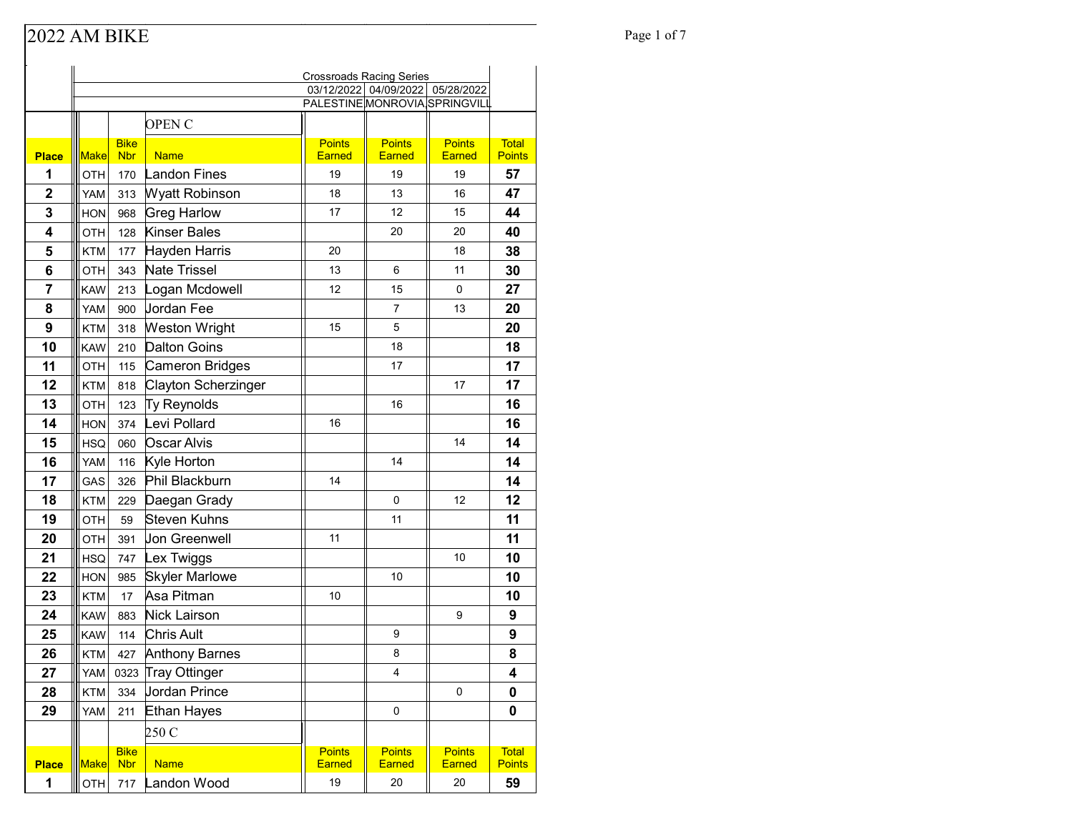### Page 1 of 7

| 03/12/2022 04/09/2022 05/28/2022<br>PALESTINE MONROVIA SPRINGVILL<br><b>OPEN C</b><br><b>Bike</b><br><b>Points</b><br><b>Points</b><br><b>Points</b><br><b>Total</b><br><b>Make</b><br><b>Nbr</b><br><b>Name</b><br>Earned<br><b>Earned</b><br><b>Earned</b><br><b>Place</b><br>1<br>Landon Fines<br>19<br>19<br>19<br>57<br>OTH<br>170<br>$\overline{2}$<br>Wyatt Robinson<br>47<br>18<br>13<br>16<br><b>YAM</b><br>313<br><b>Greg Harlow</b><br>3<br>12<br>44<br>968<br>17<br>15<br><b>HON</b><br><b>Kinser Bales</b><br>$\boldsymbol{4}$<br>128<br>20<br>20<br>40<br>OTH<br>5<br>Hayden Harris<br>20<br>18<br>38<br><b>KTM</b><br>177<br>6<br><b>Nate Trissel</b><br>30<br>13<br>6<br>11<br><b>OTH</b><br>343<br>7<br>Logan Mcdowell<br>27<br>12<br>15<br>0<br><b>KAW</b><br>213<br><b>Jordan Fee</b><br>8<br>7<br>13<br>20<br><b>YAM</b><br>900<br>9<br>20<br><b>Weston Wright</b><br>15<br>5<br>318<br><b>KTM</b><br>10<br><b>Dalton Goins</b><br>18<br>18<br><b>KAW</b><br>210<br>11<br>17<br>Cameron Bridges<br>17<br>OTH<br>115<br>12<br>Clayton Scherzinger<br>17<br>17<br><b>KTM</b><br>818<br>13<br>16<br>Ty Reynolds<br>123<br>16<br>OTH<br>14<br>Levi Pollard<br>16<br>16<br>374<br><b>HON</b><br>14<br>15<br><b>Oscar Alvis</b><br>14<br><b>HSQ</b><br>060<br>Kyle Horton<br>16<br>14<br>14<br><b>YAM</b><br>116<br>17<br>Phil Blackburn<br>14<br>14<br>GAS<br>326<br>18<br>12<br>12<br>Daegan Grady<br>0<br><b>KTM</b><br>229<br>19<br>Steven Kuhns<br>11<br>11<br>OTH<br>59<br>Jon Greenwell<br>20<br>11<br>11<br><b>OTH</b><br>391<br>21<br>10<br>Lex Twiggs<br>10<br><b>HSQ</b><br>747<br>22<br>10<br><b>Skyler Marlowe</b><br>10<br><b>HON</b><br>985<br>23<br>Asa Pitman<br>10<br>10<br><b>KTM</b><br>17<br>24<br>Nick Lairson<br>9<br><b>KAW</b><br>9<br>883<br>Chris Ault<br>25<br>9<br><b>KAW</b><br>114<br>9<br>26<br><b>Anthony Barnes</b><br>8<br>8<br><b>KTM</b><br>427<br>27<br>YAM<br>0323 Tray Ottinger<br>4<br>4<br>Jordan Prince<br>28<br>0<br><b>KTM</b><br>334<br>0<br>0<br>Ethan Hayes<br>29<br><b>YAM</b><br>211<br>0<br>250 C<br><b>Bike</b><br><b>Points</b><br><b>Points</b><br><b>Points</b><br><b>Total</b><br>Make<br><b>Nbr</b><br><b>Name</b><br>Earned<br><b>Earned</b><br>Earned<br><b>Points</b><br><b>Place</b><br>1<br>59<br>717 Landon Wood<br>19<br>20<br>20<br>OTH |  |  | <b>Crossroads Racing Series</b> |  |               |
|------------------------------------------------------------------------------------------------------------------------------------------------------------------------------------------------------------------------------------------------------------------------------------------------------------------------------------------------------------------------------------------------------------------------------------------------------------------------------------------------------------------------------------------------------------------------------------------------------------------------------------------------------------------------------------------------------------------------------------------------------------------------------------------------------------------------------------------------------------------------------------------------------------------------------------------------------------------------------------------------------------------------------------------------------------------------------------------------------------------------------------------------------------------------------------------------------------------------------------------------------------------------------------------------------------------------------------------------------------------------------------------------------------------------------------------------------------------------------------------------------------------------------------------------------------------------------------------------------------------------------------------------------------------------------------------------------------------------------------------------------------------------------------------------------------------------------------------------------------------------------------------------------------------------------------------------------------------------------------------------------------------------------------------------------------------------------------------------------------------------------------------------------------------------------------------------------------------------------------------------------------------------------------------------------------------------|--|--|---------------------------------|--|---------------|
|                                                                                                                                                                                                                                                                                                                                                                                                                                                                                                                                                                                                                                                                                                                                                                                                                                                                                                                                                                                                                                                                                                                                                                                                                                                                                                                                                                                                                                                                                                                                                                                                                                                                                                                                                                                                                                                                                                                                                                                                                                                                                                                                                                                                                                                                                                                        |  |  |                                 |  |               |
|                                                                                                                                                                                                                                                                                                                                                                                                                                                                                                                                                                                                                                                                                                                                                                                                                                                                                                                                                                                                                                                                                                                                                                                                                                                                                                                                                                                                                                                                                                                                                                                                                                                                                                                                                                                                                                                                                                                                                                                                                                                                                                                                                                                                                                                                                                                        |  |  |                                 |  |               |
|                                                                                                                                                                                                                                                                                                                                                                                                                                                                                                                                                                                                                                                                                                                                                                                                                                                                                                                                                                                                                                                                                                                                                                                                                                                                                                                                                                                                                                                                                                                                                                                                                                                                                                                                                                                                                                                                                                                                                                                                                                                                                                                                                                                                                                                                                                                        |  |  |                                 |  |               |
|                                                                                                                                                                                                                                                                                                                                                                                                                                                                                                                                                                                                                                                                                                                                                                                                                                                                                                                                                                                                                                                                                                                                                                                                                                                                                                                                                                                                                                                                                                                                                                                                                                                                                                                                                                                                                                                                                                                                                                                                                                                                                                                                                                                                                                                                                                                        |  |  |                                 |  | <b>Points</b> |
|                                                                                                                                                                                                                                                                                                                                                                                                                                                                                                                                                                                                                                                                                                                                                                                                                                                                                                                                                                                                                                                                                                                                                                                                                                                                                                                                                                                                                                                                                                                                                                                                                                                                                                                                                                                                                                                                                                                                                                                                                                                                                                                                                                                                                                                                                                                        |  |  |                                 |  |               |
|                                                                                                                                                                                                                                                                                                                                                                                                                                                                                                                                                                                                                                                                                                                                                                                                                                                                                                                                                                                                                                                                                                                                                                                                                                                                                                                                                                                                                                                                                                                                                                                                                                                                                                                                                                                                                                                                                                                                                                                                                                                                                                                                                                                                                                                                                                                        |  |  |                                 |  |               |
|                                                                                                                                                                                                                                                                                                                                                                                                                                                                                                                                                                                                                                                                                                                                                                                                                                                                                                                                                                                                                                                                                                                                                                                                                                                                                                                                                                                                                                                                                                                                                                                                                                                                                                                                                                                                                                                                                                                                                                                                                                                                                                                                                                                                                                                                                                                        |  |  |                                 |  |               |
|                                                                                                                                                                                                                                                                                                                                                                                                                                                                                                                                                                                                                                                                                                                                                                                                                                                                                                                                                                                                                                                                                                                                                                                                                                                                                                                                                                                                                                                                                                                                                                                                                                                                                                                                                                                                                                                                                                                                                                                                                                                                                                                                                                                                                                                                                                                        |  |  |                                 |  |               |
|                                                                                                                                                                                                                                                                                                                                                                                                                                                                                                                                                                                                                                                                                                                                                                                                                                                                                                                                                                                                                                                                                                                                                                                                                                                                                                                                                                                                                                                                                                                                                                                                                                                                                                                                                                                                                                                                                                                                                                                                                                                                                                                                                                                                                                                                                                                        |  |  |                                 |  |               |
|                                                                                                                                                                                                                                                                                                                                                                                                                                                                                                                                                                                                                                                                                                                                                                                                                                                                                                                                                                                                                                                                                                                                                                                                                                                                                                                                                                                                                                                                                                                                                                                                                                                                                                                                                                                                                                                                                                                                                                                                                                                                                                                                                                                                                                                                                                                        |  |  |                                 |  |               |
|                                                                                                                                                                                                                                                                                                                                                                                                                                                                                                                                                                                                                                                                                                                                                                                                                                                                                                                                                                                                                                                                                                                                                                                                                                                                                                                                                                                                                                                                                                                                                                                                                                                                                                                                                                                                                                                                                                                                                                                                                                                                                                                                                                                                                                                                                                                        |  |  |                                 |  |               |
|                                                                                                                                                                                                                                                                                                                                                                                                                                                                                                                                                                                                                                                                                                                                                                                                                                                                                                                                                                                                                                                                                                                                                                                                                                                                                                                                                                                                                                                                                                                                                                                                                                                                                                                                                                                                                                                                                                                                                                                                                                                                                                                                                                                                                                                                                                                        |  |  |                                 |  |               |
|                                                                                                                                                                                                                                                                                                                                                                                                                                                                                                                                                                                                                                                                                                                                                                                                                                                                                                                                                                                                                                                                                                                                                                                                                                                                                                                                                                                                                                                                                                                                                                                                                                                                                                                                                                                                                                                                                                                                                                                                                                                                                                                                                                                                                                                                                                                        |  |  |                                 |  |               |
|                                                                                                                                                                                                                                                                                                                                                                                                                                                                                                                                                                                                                                                                                                                                                                                                                                                                                                                                                                                                                                                                                                                                                                                                                                                                                                                                                                                                                                                                                                                                                                                                                                                                                                                                                                                                                                                                                                                                                                                                                                                                                                                                                                                                                                                                                                                        |  |  |                                 |  |               |
|                                                                                                                                                                                                                                                                                                                                                                                                                                                                                                                                                                                                                                                                                                                                                                                                                                                                                                                                                                                                                                                                                                                                                                                                                                                                                                                                                                                                                                                                                                                                                                                                                                                                                                                                                                                                                                                                                                                                                                                                                                                                                                                                                                                                                                                                                                                        |  |  |                                 |  |               |
|                                                                                                                                                                                                                                                                                                                                                                                                                                                                                                                                                                                                                                                                                                                                                                                                                                                                                                                                                                                                                                                                                                                                                                                                                                                                                                                                                                                                                                                                                                                                                                                                                                                                                                                                                                                                                                                                                                                                                                                                                                                                                                                                                                                                                                                                                                                        |  |  |                                 |  |               |
|                                                                                                                                                                                                                                                                                                                                                                                                                                                                                                                                                                                                                                                                                                                                                                                                                                                                                                                                                                                                                                                                                                                                                                                                                                                                                                                                                                                                                                                                                                                                                                                                                                                                                                                                                                                                                                                                                                                                                                                                                                                                                                                                                                                                                                                                                                                        |  |  |                                 |  |               |
|                                                                                                                                                                                                                                                                                                                                                                                                                                                                                                                                                                                                                                                                                                                                                                                                                                                                                                                                                                                                                                                                                                                                                                                                                                                                                                                                                                                                                                                                                                                                                                                                                                                                                                                                                                                                                                                                                                                                                                                                                                                                                                                                                                                                                                                                                                                        |  |  |                                 |  |               |
|                                                                                                                                                                                                                                                                                                                                                                                                                                                                                                                                                                                                                                                                                                                                                                                                                                                                                                                                                                                                                                                                                                                                                                                                                                                                                                                                                                                                                                                                                                                                                                                                                                                                                                                                                                                                                                                                                                                                                                                                                                                                                                                                                                                                                                                                                                                        |  |  |                                 |  |               |
|                                                                                                                                                                                                                                                                                                                                                                                                                                                                                                                                                                                                                                                                                                                                                                                                                                                                                                                                                                                                                                                                                                                                                                                                                                                                                                                                                                                                                                                                                                                                                                                                                                                                                                                                                                                                                                                                                                                                                                                                                                                                                                                                                                                                                                                                                                                        |  |  |                                 |  |               |
|                                                                                                                                                                                                                                                                                                                                                                                                                                                                                                                                                                                                                                                                                                                                                                                                                                                                                                                                                                                                                                                                                                                                                                                                                                                                                                                                                                                                                                                                                                                                                                                                                                                                                                                                                                                                                                                                                                                                                                                                                                                                                                                                                                                                                                                                                                                        |  |  |                                 |  |               |
|                                                                                                                                                                                                                                                                                                                                                                                                                                                                                                                                                                                                                                                                                                                                                                                                                                                                                                                                                                                                                                                                                                                                                                                                                                                                                                                                                                                                                                                                                                                                                                                                                                                                                                                                                                                                                                                                                                                                                                                                                                                                                                                                                                                                                                                                                                                        |  |  |                                 |  |               |
|                                                                                                                                                                                                                                                                                                                                                                                                                                                                                                                                                                                                                                                                                                                                                                                                                                                                                                                                                                                                                                                                                                                                                                                                                                                                                                                                                                                                                                                                                                                                                                                                                                                                                                                                                                                                                                                                                                                                                                                                                                                                                                                                                                                                                                                                                                                        |  |  |                                 |  |               |
|                                                                                                                                                                                                                                                                                                                                                                                                                                                                                                                                                                                                                                                                                                                                                                                                                                                                                                                                                                                                                                                                                                                                                                                                                                                                                                                                                                                                                                                                                                                                                                                                                                                                                                                                                                                                                                                                                                                                                                                                                                                                                                                                                                                                                                                                                                                        |  |  |                                 |  |               |
|                                                                                                                                                                                                                                                                                                                                                                                                                                                                                                                                                                                                                                                                                                                                                                                                                                                                                                                                                                                                                                                                                                                                                                                                                                                                                                                                                                                                                                                                                                                                                                                                                                                                                                                                                                                                                                                                                                                                                                                                                                                                                                                                                                                                                                                                                                                        |  |  |                                 |  |               |
|                                                                                                                                                                                                                                                                                                                                                                                                                                                                                                                                                                                                                                                                                                                                                                                                                                                                                                                                                                                                                                                                                                                                                                                                                                                                                                                                                                                                                                                                                                                                                                                                                                                                                                                                                                                                                                                                                                                                                                                                                                                                                                                                                                                                                                                                                                                        |  |  |                                 |  |               |
|                                                                                                                                                                                                                                                                                                                                                                                                                                                                                                                                                                                                                                                                                                                                                                                                                                                                                                                                                                                                                                                                                                                                                                                                                                                                                                                                                                                                                                                                                                                                                                                                                                                                                                                                                                                                                                                                                                                                                                                                                                                                                                                                                                                                                                                                                                                        |  |  |                                 |  |               |
|                                                                                                                                                                                                                                                                                                                                                                                                                                                                                                                                                                                                                                                                                                                                                                                                                                                                                                                                                                                                                                                                                                                                                                                                                                                                                                                                                                                                                                                                                                                                                                                                                                                                                                                                                                                                                                                                                                                                                                                                                                                                                                                                                                                                                                                                                                                        |  |  |                                 |  |               |
|                                                                                                                                                                                                                                                                                                                                                                                                                                                                                                                                                                                                                                                                                                                                                                                                                                                                                                                                                                                                                                                                                                                                                                                                                                                                                                                                                                                                                                                                                                                                                                                                                                                                                                                                                                                                                                                                                                                                                                                                                                                                                                                                                                                                                                                                                                                        |  |  |                                 |  |               |
|                                                                                                                                                                                                                                                                                                                                                                                                                                                                                                                                                                                                                                                                                                                                                                                                                                                                                                                                                                                                                                                                                                                                                                                                                                                                                                                                                                                                                                                                                                                                                                                                                                                                                                                                                                                                                                                                                                                                                                                                                                                                                                                                                                                                                                                                                                                        |  |  |                                 |  |               |
|                                                                                                                                                                                                                                                                                                                                                                                                                                                                                                                                                                                                                                                                                                                                                                                                                                                                                                                                                                                                                                                                                                                                                                                                                                                                                                                                                                                                                                                                                                                                                                                                                                                                                                                                                                                                                                                                                                                                                                                                                                                                                                                                                                                                                                                                                                                        |  |  |                                 |  |               |
|                                                                                                                                                                                                                                                                                                                                                                                                                                                                                                                                                                                                                                                                                                                                                                                                                                                                                                                                                                                                                                                                                                                                                                                                                                                                                                                                                                                                                                                                                                                                                                                                                                                                                                                                                                                                                                                                                                                                                                                                                                                                                                                                                                                                                                                                                                                        |  |  |                                 |  |               |
|                                                                                                                                                                                                                                                                                                                                                                                                                                                                                                                                                                                                                                                                                                                                                                                                                                                                                                                                                                                                                                                                                                                                                                                                                                                                                                                                                                                                                                                                                                                                                                                                                                                                                                                                                                                                                                                                                                                                                                                                                                                                                                                                                                                                                                                                                                                        |  |  |                                 |  |               |
|                                                                                                                                                                                                                                                                                                                                                                                                                                                                                                                                                                                                                                                                                                                                                                                                                                                                                                                                                                                                                                                                                                                                                                                                                                                                                                                                                                                                                                                                                                                                                                                                                                                                                                                                                                                                                                                                                                                                                                                                                                                                                                                                                                                                                                                                                                                        |  |  |                                 |  |               |
|                                                                                                                                                                                                                                                                                                                                                                                                                                                                                                                                                                                                                                                                                                                                                                                                                                                                                                                                                                                                                                                                                                                                                                                                                                                                                                                                                                                                                                                                                                                                                                                                                                                                                                                                                                                                                                                                                                                                                                                                                                                                                                                                                                                                                                                                                                                        |  |  |                                 |  |               |
|                                                                                                                                                                                                                                                                                                                                                                                                                                                                                                                                                                                                                                                                                                                                                                                                                                                                                                                                                                                                                                                                                                                                                                                                                                                                                                                                                                                                                                                                                                                                                                                                                                                                                                                                                                                                                                                                                                                                                                                                                                                                                                                                                                                                                                                                                                                        |  |  |                                 |  |               |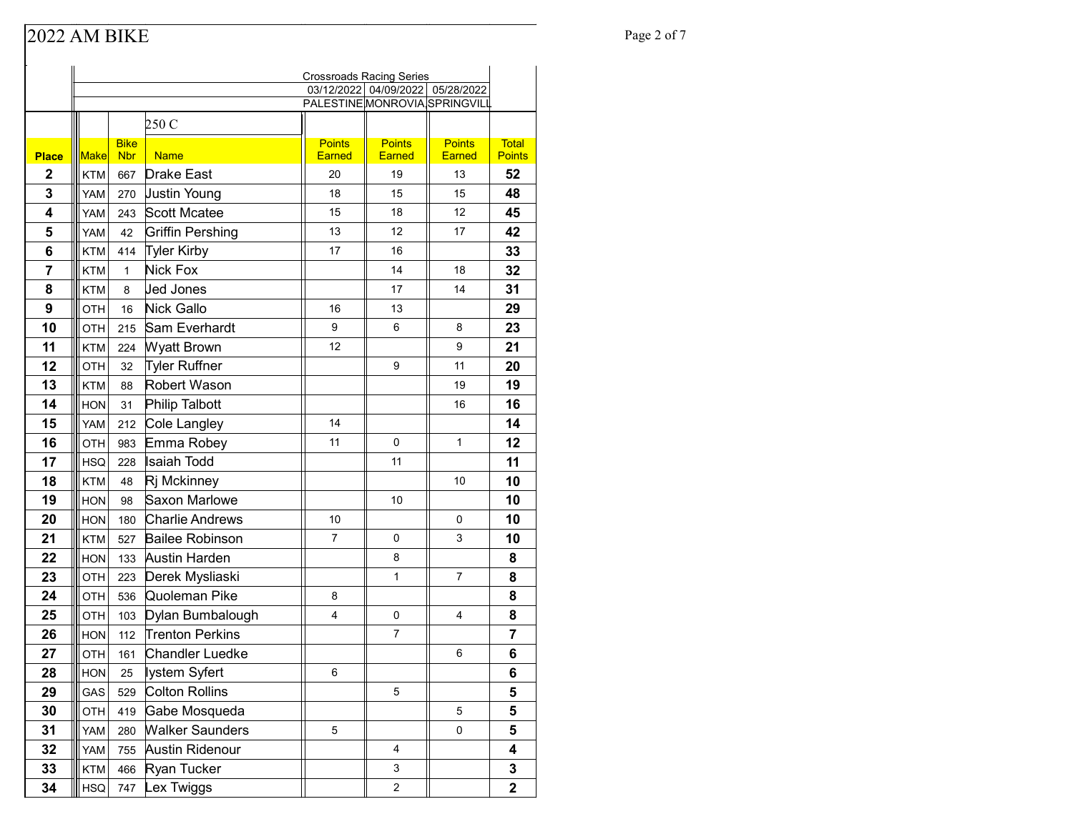# Page 2 of 7

|              |             |                           |                        | <b>Crossroads Racing Series</b> |                                  |                                |                               |
|--------------|-------------|---------------------------|------------------------|---------------------------------|----------------------------------|--------------------------------|-------------------------------|
|              |             |                           |                        |                                 | 03/12/2022 04/09/2022 05/28/2022 |                                |                               |
|              |             |                           |                        | PALESTINE MONROVIA SPRINGVILL   |                                  |                                |                               |
|              |             |                           | 250 C                  |                                 |                                  |                                |                               |
| <b>Place</b> | <b>Make</b> | <b>Bike</b><br><b>Nbr</b> | <b>Name</b>            | <b>Points</b><br><b>Earned</b>  | <b>Points</b><br><b>Earned</b>   | <b>Points</b><br><b>Earned</b> | <b>Total</b><br><b>Points</b> |
| $\mathbf{2}$ | <b>KTM</b>  | 667                       | <b>Drake East</b>      | 20                              | 19                               | 13                             | 52                            |
| 3            | <b>YAM</b>  | 270                       | <b>Justin Young</b>    | 18                              | 15                               | 15                             | 48                            |
| 4            | <b>YAM</b>  | 243                       | <b>Scott Mcatee</b>    | 15                              | 18                               | 12                             | 45                            |
| 5            | YAM         | 42                        | Griffin Pershing       | 13                              | 12                               | 17                             | 42                            |
| 6            | <b>KTM</b>  | 414                       | Tyler Kirby            | 17                              | 16                               |                                | 33                            |
| 7            | <b>KTM</b>  | $\mathbf{1}$              | Nick Fox               |                                 | 14                               | 18                             | 32                            |
| 8            | <b>KTM</b>  | 8                         | Jed Jones              |                                 | 17                               | 14                             | 31                            |
| 9            | OTH         | 16                        | Nick Gallo             | 16                              | 13                               |                                | 29                            |
| 10           | <b>OTH</b>  | 215                       | Sam Everhardt          | 9                               | 6                                | 8                              | 23                            |
| 11           | <b>KTM</b>  | 224                       | <b>Wyatt Brown</b>     | 12                              |                                  | 9                              | 21                            |
| 12           | <b>OTH</b>  | 32                        | <b>Tyler Ruffner</b>   |                                 | 9                                | 11                             | 20                            |
| 13           | <b>KTM</b>  | 88                        | Robert Wason           |                                 |                                  | 19                             | 19                            |
| 14           | <b>HON</b>  | 31                        | Philip Talbott         |                                 |                                  | 16                             | 16                            |
| 15           | YAM         | 212                       | Cole Langley           | 14                              |                                  |                                | 14                            |
| 16           | <b>OTH</b>  | 983                       | Emma Robey             | 11                              | $\Omega$                         | 1                              | 12                            |
| 17           | <b>HSQ</b>  | 228                       | Isaiah Todd            |                                 | 11                               |                                | 11                            |
| 18           | <b>KTM</b>  | 48                        | Rj Mckinney            |                                 |                                  | 10                             | 10                            |
| 19           | <b>HON</b>  | 98                        | Saxon Marlowe          |                                 | 10                               |                                | 10                            |
| 20           | <b>HON</b>  | 180                       | Charlie Andrews        | 10                              |                                  | 0                              | 10                            |
| 21           | <b>KTM</b>  | 527                       | <b>Bailee Robinson</b> | $\overline{7}$                  | 0                                | 3                              | 10                            |
| 22           | <b>HON</b>  | 133                       | Austin Harden          |                                 | 8                                |                                | 8                             |
| 23           | OTH         | 223                       | Derek Mysliaski        |                                 | $\mathbf{1}$                     | $\overline{7}$                 | 8                             |
| 24           | <b>OTH</b>  | 536                       | Quoleman Pike          | 8                               |                                  |                                | 8                             |
| 25           | OTH         | 103                       | Dylan Bumbalough       | 4                               | 0                                | 4                              | 8                             |
| 26           | <b>HON</b>  | 112                       | <b>Trenton Perkins</b> |                                 | $\overline{7}$                   |                                | 7                             |
| 27           | OTH         | 161                       | <b>Chandler Luedke</b> |                                 |                                  | 6                              | 6                             |
| 28           | <b>HON</b>  | 25                        | ∥ystem Syfert          | 6                               |                                  |                                | 6                             |
| 29           | GAS         | 529                       | Colton Rollins         |                                 | 5                                |                                | 5                             |
| 30           | OTH         | 419                       | Gabe Mosqueda          |                                 |                                  | 5                              | 5                             |
| 31           | YAM         | 280                       | <b>Walker Saunders</b> | 5                               |                                  | 0                              | 5                             |
| 32           | YAM         | 755                       | Austin Ridenour        |                                 | 4                                |                                | 4                             |
| 33           | <b>KTM</b>  | 466                       | Ryan Tucker            |                                 | 3                                |                                | 3                             |
| 34           | <b>HSQ</b>  | 747                       | Lex Twiggs             |                                 | $\overline{c}$                   |                                | $\overline{\mathbf{2}}$       |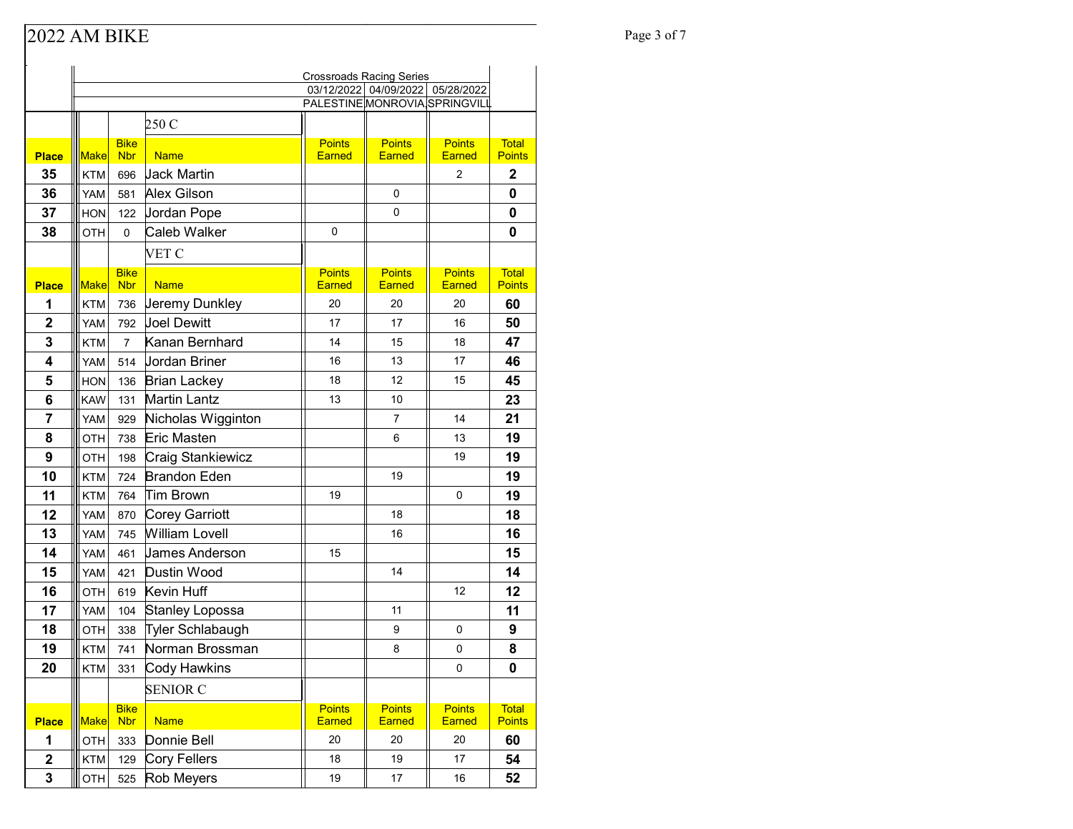# Page 3 of 7

|                | <b>Crossroads Racing Series</b> |                           |                       |                                |                                  |                                |                               |
|----------------|---------------------------------|---------------------------|-----------------------|--------------------------------|----------------------------------|--------------------------------|-------------------------------|
|                |                                 |                           |                       |                                | 03/12/2022 04/09/2022 05/28/2022 |                                |                               |
|                |                                 |                           |                       | PALESTINE MONROVIA SPRINGVILL  |                                  |                                |                               |
|                |                                 |                           | 250 C                 |                                |                                  |                                |                               |
| <b>Place</b>   | <b>Make</b>                     | <b>Bike</b><br><b>Nbr</b> | <b>Name</b>           | <b>Points</b><br><b>Earned</b> | <b>Points</b><br><b>Earned</b>   | <b>Points</b><br><b>Earned</b> | <b>Total</b><br><b>Points</b> |
| 35             | <b>KTM</b>                      | 696                       | <b>Jack Martin</b>    |                                |                                  | 2                              | $\overline{2}$                |
| 36             | <b>YAM</b>                      | 581                       | Alex Gilson           |                                | 0                                |                                | 0                             |
| 37             | <b>HON</b>                      | 122                       | Jordan Pope           |                                | 0                                |                                | 0                             |
| 38             | <b>OTH</b>                      | 0                         | Caleb Walker          | $\Omega$                       |                                  |                                | 0                             |
|                |                                 |                           | VET C                 |                                |                                  |                                |                               |
|                |                                 | <b>Bike</b>               |                       | <b>Points</b>                  | <b>Points</b>                    | <b>Points</b>                  | <b>Total</b>                  |
| <b>Place</b>   | <b>Make</b>                     | <b>Nbr</b>                | <b>Name</b>           | <b>Earned</b>                  | <b>Earned</b>                    | <b>Earned</b>                  | <b>Points</b>                 |
| 1              | <b>KTM</b>                      | 736                       | Jeremy Dunkley        | 20                             | 20                               | 20                             | 60                            |
| $\overline{2}$ | <b>YAM</b>                      | 792                       | <b>Joel Dewitt</b>    | 17                             | 17                               | 16                             | 50                            |
| 3              | <b>KTM</b>                      | 7                         | Kanan Bernhard        | 14                             | 15                               | 18                             | 47                            |
| 4              | <b>YAM</b>                      | 514                       | <b>Jordan Briner</b>  | 16                             | 13                               | 17                             | 46                            |
| 5              | <b>HON</b>                      | 136                       | <b>Brian Lackey</b>   | 18                             | 12                               | 15                             | 45                            |
| 6              | <b>KAW</b>                      | 131                       | <b>Martin Lantz</b>   | 13                             | 10                               |                                | 23                            |
| 7              | <b>YAM</b>                      | 929                       | Nicholas Wigginton    |                                | 7                                | 14                             | 21                            |
| 8              | OTH                             | 738                       | <b>Eric Masten</b>    |                                | 6                                | 13                             | 19                            |
| 9              | OTH                             | 198                       | Craig Stankiewicz     |                                |                                  | 19                             | 19                            |
| 10             | <b>KTM</b>                      | 724                       | <b>Brandon Eden</b>   |                                | 19                               |                                | 19                            |
| 11             | KTM                             | 764                       | Tim Brown             | 19                             |                                  | 0                              | 19                            |
| 12             | <b>YAM</b>                      | 870                       | Corey Garriott        |                                | 18                               |                                | 18                            |
| 13             | YAM                             | 745                       | <b>William Lovell</b> |                                | 16                               |                                | 16                            |
| 14             | <b>YAM</b>                      | 461                       | James Anderson        | 15                             |                                  |                                | 15                            |
| 15             | YAM                             | 421                       | Dustin Wood           |                                | 14                               |                                | 14                            |
| 16             | OTH                             | 619                       | Kevin Huff            |                                |                                  | 12                             | 12                            |
| 17             | <b>YAM</b>                      | 104                       | Stanley Lopossa       |                                | 11                               |                                | 11                            |
| 18             | OTH                             | 338                       | Tyler Schlabaugh      |                                | 9                                | 0                              | 9                             |
| 19             | KTM                             | 741                       | Norman Brossman       |                                | 8                                | 0                              | 8                             |
| 20             | <b>KTM</b>                      | 331                       | Cody Hawkins          |                                |                                  | 0                              | 0                             |
|                |                                 |                           | <b>SENIOR C</b>       |                                |                                  |                                |                               |
| <b>Place</b>   | <b>Make</b>                     | <b>Bike</b><br><b>Nbr</b> | <b>Name</b>           | <b>Points</b><br>Earned        | <b>Points</b><br>Earned          | <b>Points</b><br>Earned        | <b>Total</b><br><b>Points</b> |
| 1              | OTH                             | 333                       | Donnie Bell           | 20                             | 20                               | 20                             | 60                            |
| $\mathbf 2$    | <b>KTM</b>                      | 129                       | Cory Fellers          | 18                             | 19                               | 17                             | 54                            |
| 3              | OTH                             | 525                       | Rob Meyers            | 19                             | 17                               | 16                             | 52                            |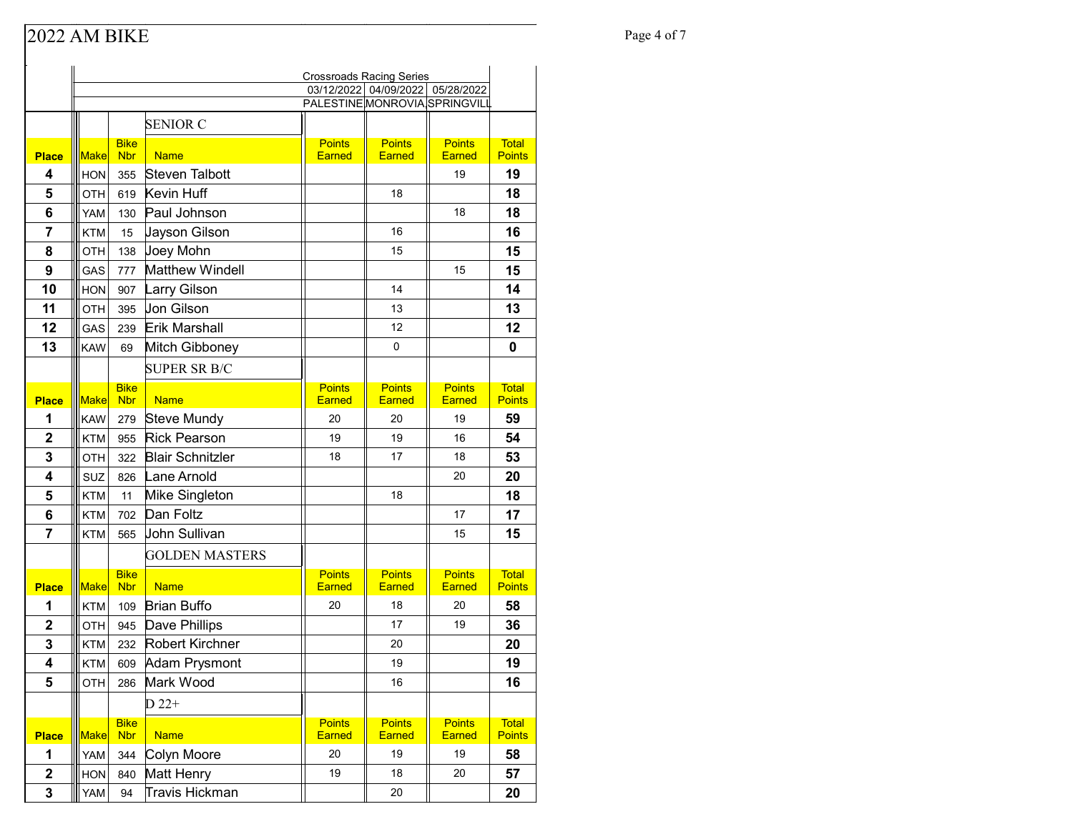### Page 4 of 7

|                         | <b>Crossroads Racing Series</b> |                           |                            |                                |                                |                                |                               |
|-------------------------|---------------------------------|---------------------------|----------------------------|--------------------------------|--------------------------------|--------------------------------|-------------------------------|
|                         |                                 |                           |                            | 03/12/2022 04/09/2022          |                                | 05/28/2022                     |                               |
|                         |                                 |                           |                            | PALESTINE MONROVIA SPRINGVILL  |                                |                                |                               |
|                         |                                 |                           | <b>SENIOR C</b>            |                                |                                |                                |                               |
| <b>Place</b>            | <b>Make</b>                     | <b>Bike</b><br><b>Nbr</b> | <b>Name</b>                | <b>Points</b><br><b>Earned</b> | <b>Points</b><br><b>Earned</b> | <b>Points</b><br><b>Earned</b> | <b>Total</b><br><b>Points</b> |
| 4                       | <b>HON</b>                      | 355                       | Steven Talbott             |                                |                                | 19                             | 19                            |
| 5                       | <b>OTH</b>                      | 619                       | Kevin Huff                 |                                | 18                             |                                | 18                            |
| 6                       | YAM                             | 130                       | Paul Johnson               |                                |                                | 18                             | 18                            |
| 7                       | <b>KTM</b>                      | 15                        | Jayson Gilson              |                                | 16                             |                                | 16                            |
| 8                       | <b>OTH</b>                      | 138                       | Joey Mohn                  |                                | 15                             |                                | 15                            |
| 9                       | GAS                             | 777                       | <b>Matthew Windell</b>     |                                |                                | 15                             | 15                            |
| 10                      |                                 |                           |                            |                                | 14                             |                                | 14                            |
| 11                      | <b>HON</b><br>OTH               | 907<br>395                | Larry Gilson<br>Jon Gilson |                                | 13                             |                                | 13                            |
| 12                      | GAS                             | 239                       | Erik Marshall              |                                | 12                             |                                | 12                            |
| 13                      | <b>KAW</b>                      | 69                        | Mitch Gibboney             |                                | 0                              |                                | 0                             |
|                         |                                 |                           |                            |                                |                                |                                |                               |
|                         |                                 |                           | <b>SUPER SR B/C</b>        |                                |                                |                                |                               |
| <b>Place</b>            | <b>Make</b>                     | <b>Bike</b><br><b>Nbr</b> | <b>Name</b>                | <b>Points</b><br><b>Earned</b> | <b>Points</b><br><b>Earned</b> | <b>Points</b><br><b>Earned</b> | <b>Total</b><br><b>Points</b> |
| 1                       | <b>KAW</b>                      | 279                       | Steve Mundy                | 20                             | 20                             | 19                             | 59                            |
| $\overline{\mathbf{2}}$ | <b>KTM</b>                      | 955                       | <b>Rick Pearson</b>        | 19                             | 19                             | 16                             | 54                            |
| 3                       | <b>OTH</b>                      | 322                       | <b>Blair Schnitzler</b>    | 18                             | 17                             | 18                             | 53                            |
| 4                       | SUZ                             | 826                       | Lane Arnold                |                                |                                | 20                             | 20                            |
| 5                       | <b>KTM</b>                      | 11                        | Mike Singleton             |                                | 18                             |                                | 18                            |
| 6                       | <b>KTM</b>                      | 702                       | Dan Foltz                  |                                |                                | 17                             | 17                            |
| $\overline{7}$          | <b>KTM</b>                      | 565                       | John Sullivan              |                                |                                | 15                             | 15                            |
|                         |                                 |                           | <b>GOLDEN MASTERS</b>      |                                |                                |                                |                               |
|                         |                                 | <b>Bike</b>               |                            | <b>Points</b>                  | <b>Points</b>                  | <b>Points</b>                  | <b>Total</b>                  |
| <b>Place</b>            | <b>Make</b>                     | <b>Nbr</b>                | <b>Name</b>                | <b>Earned</b>                  | <b>Earned</b>                  | Earned                         | <b>Points</b>                 |
| 1                       | KTM                             | 109                       | <b>Brian Buffo</b>         | 20                             | 18                             | 20                             | 58                            |
| $\mathbf 2$             | <b>OTH</b>                      | 945                       | Dave Phillips              |                                | 17                             | 19                             | 36                            |
| 3                       | KTM                             | 232                       | Robert Kirchner            |                                | 20                             |                                | 20                            |
| $\overline{4}$          | <b>KTM</b>                      | 609                       | Adam Prysmont              |                                | 19                             |                                | 19                            |
| 5                       | OTH                             | 286                       | Mark Wood                  |                                | 16                             |                                | 16                            |
|                         |                                 |                           | $D$ 22+                    |                                |                                |                                |                               |
| <b>Place</b>            | <b>Make</b>                     | <b>Bike</b><br><b>Nbr</b> | <b>Name</b>                | <b>Points</b><br>Earned        | <b>Points</b><br>Earned        | <b>Points</b><br>Earned        | <b>Total</b><br><b>Points</b> |
| 1                       | YAM                             | 344                       | Colyn Moore                | 20                             | 19                             | 19                             | 58                            |
| $\mathbf 2$             | <b>HON</b>                      | 840                       | Matt Henry                 | 19                             | 18                             | 20                             | 57                            |
| 3                       | YAM                             | 94                        | Travis Hickman             |                                | 20                             |                                | 20                            |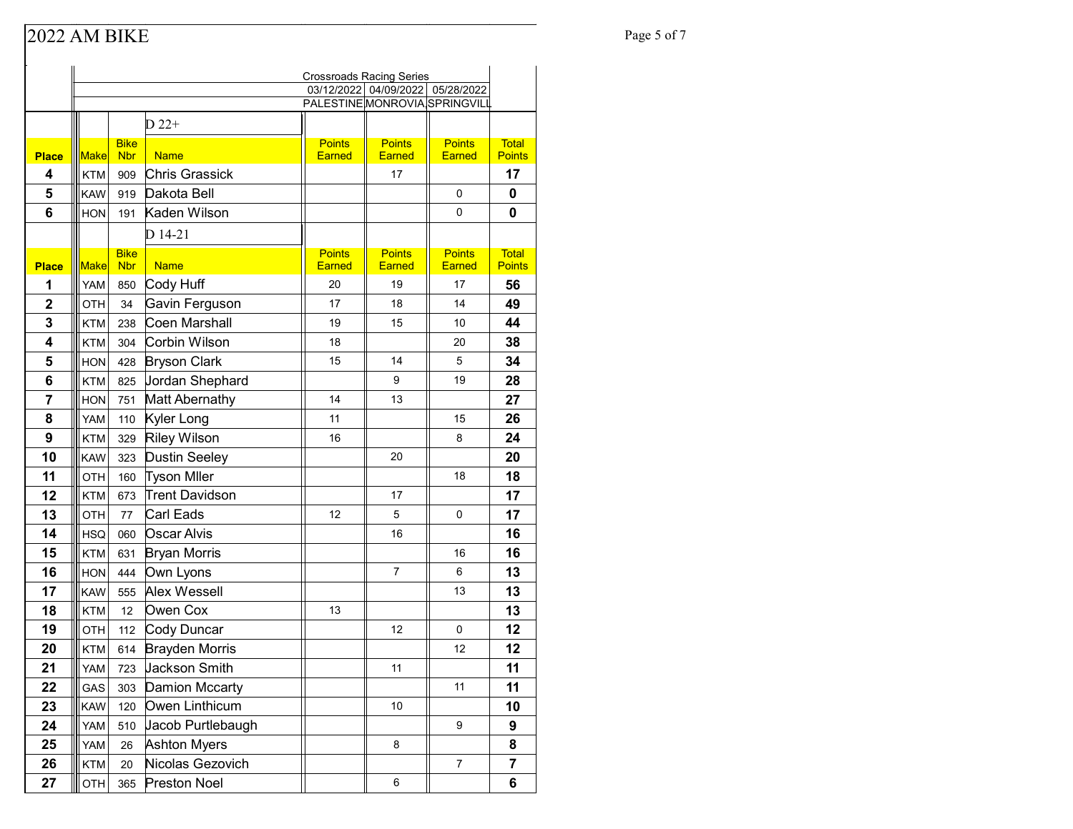## Page 5 of 7

|                         | <b>Crossroads Racing Series</b> |                           |                                 |                                |                       |                     |                               |
|-------------------------|---------------------------------|---------------------------|---------------------------------|--------------------------------|-----------------------|---------------------|-------------------------------|
|                         |                                 |                           |                                 | PALESTINE MONROVIA SPRINGVILL  | 03/12/2022 04/09/2022 | 05/28/2022          |                               |
|                         |                                 |                           | $D$ 22+                         |                                |                       |                     |                               |
|                         |                                 |                           |                                 |                                | <b>Points</b>         | <b>Points</b>       |                               |
| <b>Place</b>            | <b>Make</b>                     | <b>Bike</b><br><b>Nbr</b> | <b>Name</b>                     | <b>Points</b><br><b>Earned</b> | <b>Earned</b>         | <b>Earned</b>       | <b>Total</b><br><b>Points</b> |
| 4                       | <b>KTM</b>                      | 909                       | <b>Chris Grassick</b>           |                                | 17                    |                     | 17                            |
| 5                       | <b>KAW</b>                      | 919                       | Dakota Bell                     |                                |                       | 0                   | 0                             |
| 6                       | <b>HON</b>                      | 191                       | Kaden Wilson                    |                                |                       | 0                   | 0                             |
|                         |                                 |                           | D 14-21                         |                                |                       |                     |                               |
|                         |                                 | <b>Bike</b>               | <b>Name</b>                     | <b>Points</b>                  | <b>Points</b>         | <b>Points</b>       | <b>Total</b><br><b>Points</b> |
| <b>Place</b><br>1       | <b>Make</b><br>YAM              | <b>Nbr</b><br>850         | Cody Huff                       | <b>Earned</b><br>20            | <b>Earned</b><br>19   | <b>Earned</b><br>17 | 56                            |
| $\overline{\mathbf{2}}$ |                                 |                           |                                 | 17                             | 18                    | 14                  | 49                            |
| 3                       | OTH                             | 34                        | Gavin Ferguson<br>Coen Marshall | 19                             | 15                    | 10                  | 44                            |
| 4                       | <b>KTM</b>                      | 238                       | Corbin Wilson                   | 18                             |                       | 20                  | 38                            |
| 5                       | <b>KTM</b><br><b>HON</b>        | 304                       | <b>Bryson Clark</b>             | 15                             | 14                    | 5                   | 34                            |
| 6                       | <b>KTM</b>                      | 428                       | Jordan Shephard                 |                                | 9                     | 19                  | 28                            |
| 7                       | <b>HON</b>                      | 825                       | Matt Abernathy                  | 14                             | 13                    |                     | 27                            |
| 8                       | YAM                             | 751                       | Kyler Long                      | 11                             |                       | 15                  | 26                            |
| 9                       | KTM                             | 110<br>329                | Riley Wilson                    | 16                             |                       | 8                   | 24                            |
| 10                      | <b>KAW</b>                      | 323                       | Dustin Seeley                   |                                | 20                    |                     | 20                            |
| 11                      | OTH                             | 160                       | <b>Tyson Miler</b>              |                                |                       | 18                  | 18                            |
| 12                      | <b>KTM</b>                      | 673                       | Trent Davidson                  |                                | 17                    |                     | 17                            |
| 13                      | OTH                             | 77                        | Carl Eads                       | 12                             | 5                     | 0                   | 17                            |
| 14                      | <b>HSQ</b>                      | 060                       | Oscar Alvis                     |                                | 16                    |                     | 16                            |
| 15                      | <b>KTM</b>                      | 631                       | <b>Bryan Morris</b>             |                                |                       | 16                  | 16                            |
| 16                      | <b>HON</b>                      | 444                       | Own Lyons                       |                                | $\overline{7}$        | 6                   | 13                            |
| 17                      | <b>KAW</b>                      | 555                       | Alex Wessell                    |                                |                       | 13                  | 13                            |
| 18                      | <b>KTM</b>                      | 12                        | Owen Cox                        | 13                             |                       |                     | 13                            |
| 19                      | <b>OTH</b>                      | 112                       | Cody Duncar                     |                                | 12                    | 0                   | 12                            |
| 20                      | KTM                             | 614                       | <b>Brayden Morris</b>           |                                |                       | 12                  | 12                            |
| 21                      | YAM                             | 723                       | Jackson Smith                   |                                | 11                    |                     | 11                            |
| 22                      | GAS                             | 303                       | Damion Mccarty                  |                                |                       | 11                  | 11                            |
| 23                      | <b>KAW</b>                      | 120                       | Owen Linthicum                  |                                | 10                    |                     | 10                            |
| 24                      | YAM                             | 510                       | Jacob Purtlebaugh               |                                |                       | 9                   | 9                             |
| 25                      | YAM                             | 26                        | <b>Ashton Myers</b>             |                                | 8                     |                     | 8                             |
| 26                      | KTM                             | 20                        | Nicolas Gezovich                |                                |                       | $\overline{7}$      | 7                             |
| 27                      | OTH                             | 365                       | <b>Preston Noel</b>             |                                | 6                     |                     | 6                             |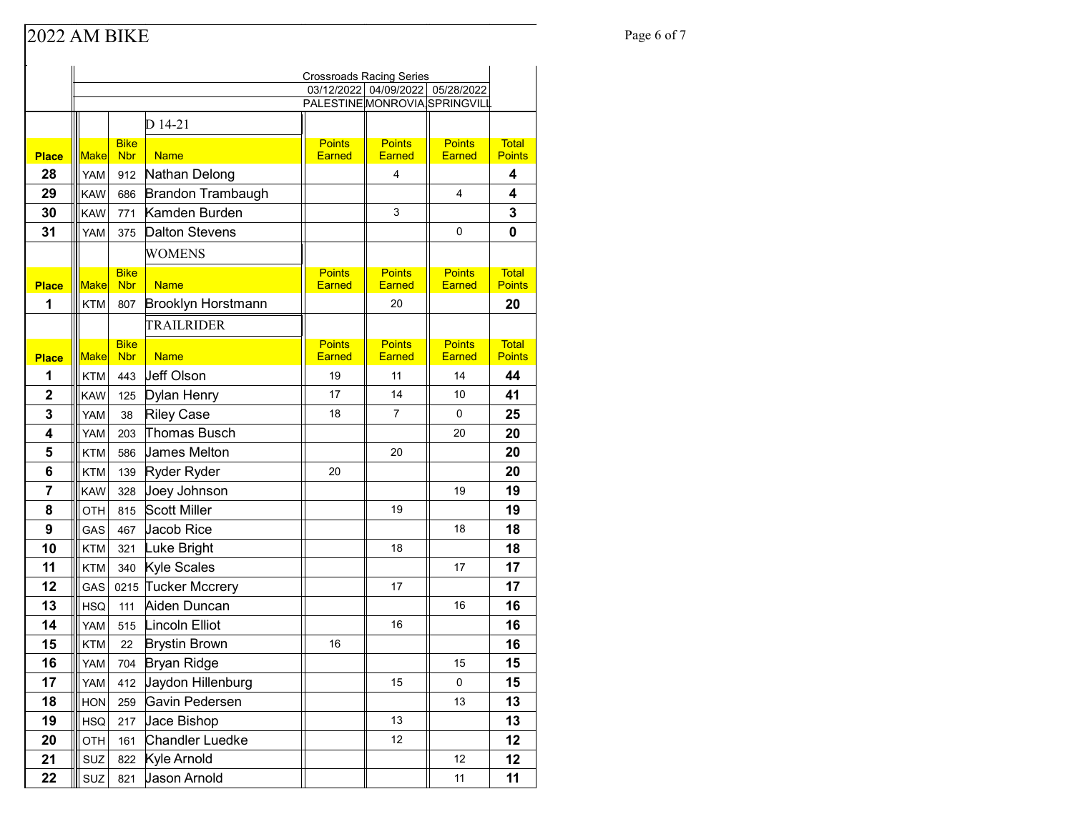### Page 6 of 7<br>
Page 6 of 7

|                |             |                           |                           | <b>Crossroads Racing Series</b> |                                |                                |                               |
|----------------|-------------|---------------------------|---------------------------|---------------------------------|--------------------------------|--------------------------------|-------------------------------|
|                |             |                           |                           | 03/12/2022 04/09/2022           |                                | 05/28/2022                     |                               |
|                |             |                           |                           | PALESTINE MONROVIA SPRINGVILL   |                                |                                |                               |
|                |             |                           | D 14-21                   |                                 |                                |                                |                               |
| <b>Place</b>   | Make        | <b>Bike</b><br><b>Nbr</b> | <b>Name</b>               | <b>Points</b><br><b>Earned</b>  | <b>Points</b><br><b>Earned</b> | <b>Points</b><br><b>Earned</b> | <b>Total</b><br><b>Points</b> |
| 28             | YAM         | 912                       | Nathan Delong             |                                 | 4                              |                                | 4                             |
| 29             | <b>KAW</b>  | 686                       | <b>Brandon Trambaugh</b>  |                                 |                                | 4                              | 4                             |
| 30             | <b>KAW</b>  | 771                       | Kamden Burden             |                                 | 3                              |                                | 3                             |
| 31             | <b>YAM</b>  | 375                       | <b>Dalton Stevens</b>     |                                 |                                | 0                              | 0                             |
|                |             |                           |                           |                                 |                                |                                |                               |
|                |             |                           | <b>WOMENS</b>             |                                 |                                |                                |                               |
| <b>Place</b>   | Make        | <b>Bike</b><br><b>Nbr</b> | <b>Name</b>               | <b>Points</b><br><b>Earned</b>  | <b>Points</b><br><b>Earned</b> | <b>Points</b><br><b>Earned</b> | <b>Total</b><br><b>Points</b> |
| 1              | <b>KTM</b>  | 807                       | <b>Brooklyn Horstmann</b> |                                 | 20                             |                                | 20                            |
|                |             |                           | TRAILRIDER                |                                 |                                |                                |                               |
|                |             | <b>Bike</b>               |                           | <b>Points</b>                   | <b>Points</b>                  | <b>Points</b>                  | <b>Total</b>                  |
| <b>Place</b>   | <b>Make</b> | <b>Nbr</b>                | <b>Name</b>               | <b>Earned</b>                   | <b>Earned</b>                  | <b>Earned</b>                  | <b>Points</b>                 |
| 1              | <b>KTM</b>  | 443                       | Jeff Olson                | 19                              | 11                             | 14                             | 44                            |
| $\mathbf{2}$   | <b>KAW</b>  | 125                       | Dylan Henry               | 17                              | 14                             | 10                             | 41                            |
| 3              | <b>YAM</b>  | 38                        | <b>Riley Case</b>         | 18                              | 7                              | 0                              | 25                            |
| 4              | <b>YAM</b>  | 203                       | Thomas Busch              |                                 |                                | 20                             | 20                            |
| 5              | <b>KTM</b>  | 586                       | <b>James Melton</b>       |                                 | 20                             |                                | 20                            |
| 6              | <b>KTM</b>  | 139                       | Ryder Ryder               | 20                              |                                |                                | 20                            |
| $\overline{7}$ | <b>KAW</b>  | 328                       | Joey Johnson              |                                 |                                | 19                             | 19                            |
| 8              | <b>OTH</b>  | 815                       | <b>Scott Miller</b>       |                                 | 19                             |                                | 19                            |
| 9              | GAS         | 467                       | Jacob Rice                |                                 |                                | 18                             | 18                            |
| 10             | <b>KTM</b>  | 321                       | Luke Bright               |                                 | 18                             |                                | 18                            |
| 11             | <b>KTM</b>  | 340                       | <b>Kyle Scales</b>        |                                 |                                | 17                             | 17                            |
| 12             | GAS         | 0215                      | <b>Tucker Mccrery</b>     |                                 | 17                             |                                | 17                            |
| 13             | <b>HSQ</b>  | 111                       | Aiden Duncan              |                                 |                                | 16                             | 16                            |
| 14             | YAM         | 515                       | Lincoln Elliot            |                                 | 16                             |                                | 16                            |
| 15             | <b>KTM</b>  | 22                        | <b>Brystin Brown</b>      | 16                              |                                |                                | 16                            |
| 16             | <b>YAM</b>  | 704                       | <b>Bryan Ridge</b>        |                                 |                                | 15                             | 15                            |
| 17             | YAM         | 412                       | Jaydon Hillenburg         |                                 | 15                             | 0                              | 15                            |
| 18             | HON         | 259                       | Gavin Pedersen            |                                 |                                | 13                             | 13                            |
| 19             | <b>HSQ</b>  | 217                       | Jace Bishop               |                                 | 13                             |                                | 13                            |
| 20             | OTH         | 161                       | Chandler Luedke           |                                 | 12                             |                                | 12                            |
| 21             | SUZ         | 822                       | Kyle Arnold               |                                 |                                | 12                             | 12                            |
| 22             | SUZ         | 821                       | Jason Arnold              |                                 |                                | 11                             | 11                            |